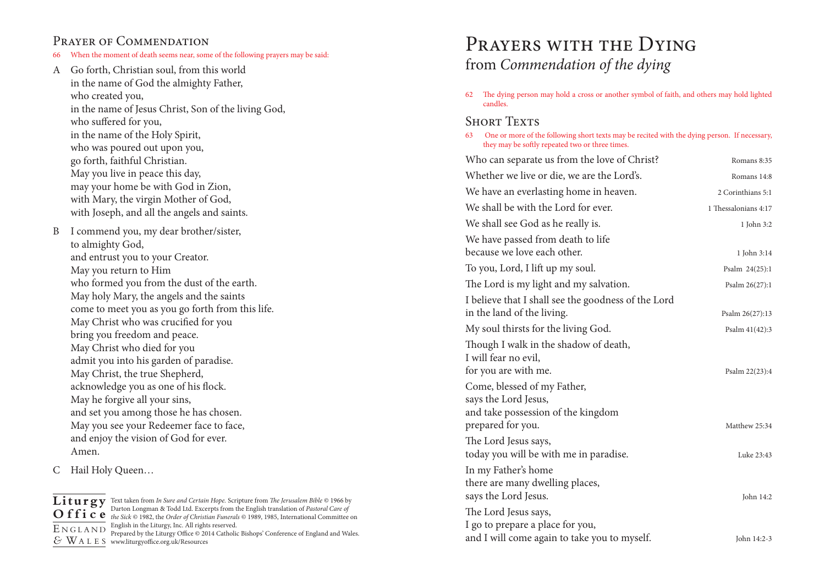## PRAYER OF COMMENDATION

- 66 When the moment of death seems near, some of the following prayers may be said:
- A Go forth, Christian soul, from this world in the name of God the almighty Father, who created you, in the name of Jesus Christ, Son of the living God, who suffered for you, in the name of the Holy Spirit, who was poured out upon you, go forth, faithful Christian. May you live in peace this day, may your home be with God in Zion, with Mary, the virgin Mother of God, with Joseph, and all the angels and saints.
- B I commend you, my dear brother/sister, to almighty God, and entrust you to your Creator. May you return to Him who formed you from the dust of the earth. May holy Mary, the angels and the saints come to meet you as you go forth from this life. May Christ who was crucified for you bring you freedom and peace. May Christ who died for you admit you into his garden of paradise. May Christ, the true Shepherd, acknowledge you as one of his flock. May he forgive all your sins, and set you among those he has chosen. May you see your Redeemer face to face, and enjoy the vision of God for ever. Amen.

C Hail Holy Queen…

E <sup>N</sup> <sup>G</sup> <sup>L</sup> <sup>A</sup> <sup>N</sup> <sup>D</sup>

**Liturgy** Text taken from *In Sure and Certain Hope.* Scripture from *The Jerusalem Bible* © 1966 by **O f f i c e** *the Sick* © 1982, the *Order of Christian Funerals* © 1989, 1985, International Committee on *&* WA <sup>L</sup> <sup>E</sup> <sup>S</sup> www.liturgyoffice.org.uk/Resources Darton Longman & Todd Ltd. Excerpts from the English translation of *Pastoral Care of*  English in the Liturgy, Inc. All rights reserved. Prepared by the Liturgy Office  $\odot$  2014 Catholic Bishops' Conference of England and Wales.

# PRAYERS WITH THE DYING from *Commendation of the dying*

62 The dying person may hold a cross or another symbol of faith, and others may hold lighted candles.

### **SHORT TEXTS**

63 One or more of the following short texts may be recited with the dying person. If necessary, they may be softly repeated two or three times.

| Who can separate us from the love of Christ?                                              | Romans 8:35          |
|-------------------------------------------------------------------------------------------|----------------------|
| Whether we live or die, we are the Lord's.                                                | Romans 14:8          |
| We have an everlasting home in heaven.                                                    | 2 Corinthians 5:1    |
| We shall be with the Lord for ever.                                                       | 1 Thessalonians 4:17 |
| We shall see God as he really is.                                                         | 1 John 3:2           |
| We have passed from death to life<br>because we love each other.                          | 1 John 3:14          |
| To you, Lord, I lift up my soul.                                                          | Psalm 24(25):1       |
| The Lord is my light and my salvation.                                                    | Psalm 26(27):1       |
| I believe that I shall see the goodness of the Lord                                       |                      |
| in the land of the living.                                                                | Psalm 26(27):13      |
| My soul thirsts for the living God.                                                       | Psalm 41(42):3       |
| Though I walk in the shadow of death,<br>I will fear no evil,<br>for you are with me.     | Psalm 22(23):4       |
| Come, blessed of my Father,<br>says the Lord Jesus,<br>and take possession of the kingdom |                      |
| prepared for you.                                                                         | Matthew 25:34        |
| The Lord Jesus says,<br>today you will be with me in paradise.                            | Luke 23:43           |
| In my Father's home<br>there are many dwelling places,<br>says the Lord Jesus.            | John 14:2            |
| The Lord Jesus says,<br>I go to prepare a place for you,                                  |                      |
| and I will come again to take you to myself.                                              | John 14:2-3          |